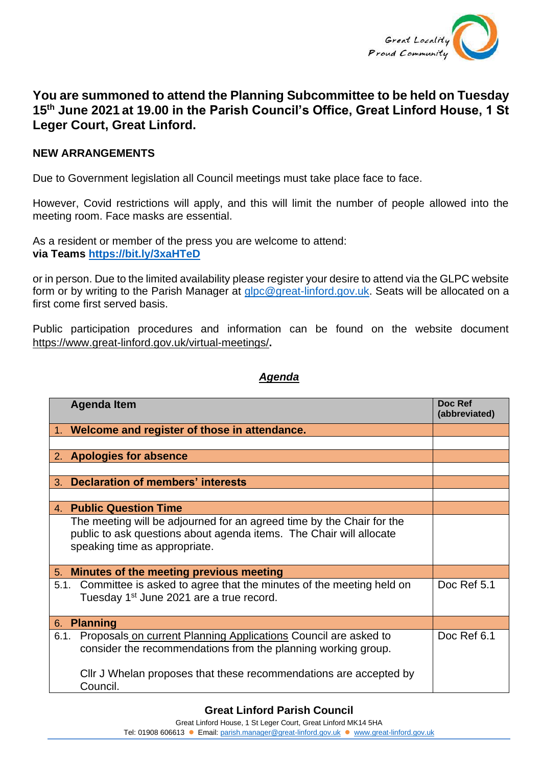

## **You are summoned to attend the Planning Subcommittee to be held on Tuesday 15th June 2021 at 19.00 in the Parish Council's Office, Great Linford House, 1 St Leger Court, Great Linford.**

## **NEW ARRANGEMENTS**

Due to Government legislation all Council meetings must take place face to face.

However, Covid restrictions will apply, and this will limit the number of people allowed into the meeting room. Face masks are essential.

As a resident or member of the press you are welcome to attend: **via Teams <https://bit.ly/3xaHTeD>**

or in person. Due to the limited availability please register your desire to attend via the GLPC website form or by writing to the Parish Manager at [glpc@great-linford.gov.uk.](mailto:glpc@great-linford.gov.uk) Seats will be allocated on a first come first served basis.

Public participation procedures and information can be found on the website document <https://www.great-linford.gov.uk/virtual-meetings/>**.**

## *Agenda*

| <b>Agenda Item</b>                                                                                                                                                            | Doc Ref<br>(abbreviated) |
|-------------------------------------------------------------------------------------------------------------------------------------------------------------------------------|--------------------------|
| 1. Welcome and register of those in attendance.                                                                                                                               |                          |
|                                                                                                                                                                               |                          |
| 2. Apologies for absence                                                                                                                                                      |                          |
|                                                                                                                                                                               |                          |
| <b>Declaration of members' interests</b><br>3.                                                                                                                                |                          |
|                                                                                                                                                                               |                          |
| 4. Public Question Time                                                                                                                                                       |                          |
| The meeting will be adjourned for an agreed time by the Chair for the<br>public to ask questions about agenda items. The Chair will allocate<br>speaking time as appropriate. |                          |
| Minutes of the meeting previous meeting<br>5.                                                                                                                                 |                          |
| 5.1. Committee is asked to agree that the minutes of the meeting held on<br>Tuesday 1 <sup>st</sup> June 2021 are a true record.                                              | Doc Ref 5.1              |
| <b>Planning</b><br>6.                                                                                                                                                         |                          |
| Proposals on current Planning Applications Council are asked to<br>6.1.<br>consider the recommendations from the planning working group.                                      | Doc Ref 6.1              |
| Cllr J Whelan proposes that these recommendations are accepted by<br>Council.                                                                                                 |                          |